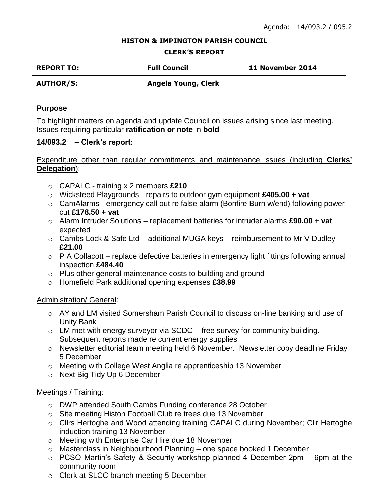#### **HISTON & IMPINGTON PARISH COUNCIL**

#### **CLERK'S REPORT**

| <b>REPORT TO:</b> | <b>Full Council</b> | 11 November 2014 |
|-------------------|---------------------|------------------|
| <b>AUTHOR/S:</b>  | Angela Young, Clerk |                  |

# **Purpose**

To highlight matters on agenda and update Council on issues arising since last meeting. Issues requiring particular **ratification or note** in **bold**

### **14/093.2 – Clerk's report:**

# Expenditure other than regular commitments and maintenance issues (including **Clerks' Delegation**):

- o CAPALC training x 2 members **£210**
- o Wicksteed Playgrounds repairs to outdoor gym equipment **£405.00 + vat**
- o CamAlarms emergency call out re false alarm (Bonfire Burn w/end) following power cut **£178.50 + vat**
- o Alarm Intruder Solutions replacement batteries for intruder alarms **£90.00 + vat** expected
- $\circ$  Cambs Lock & Safe Ltd additional MUGA keys reimbursement to Mr V Dudley **£21.00**
- $\circ$  P A Collacott replace defective batteries in emergency light fittings following annual inspection **£484.40**
- o Plus other general maintenance costs to building and ground
- o Homefield Park additional opening expenses **£38.99**

### Administration/ General:

- $\circ$  AY and LM visited Somersham Parish Council to discuss on-line banking and use of Unity Bank
- $\circ$  LM met with energy surveyor via SCDC free survey for community building. Subsequent reports made re current energy supplies
- o Newsletter editorial team meeting held 6 November. Newsletter copy deadline Friday 5 December
- o Meeting with College West Anglia re apprenticeship 13 November
- o Next Big Tidy Up 6 December

### Meetings / Training:

- o DWP attended South Cambs Funding conference 28 October
- o Site meeting Histon Football Club re trees due 13 November
- o Cllrs Hertoghe and Wood attending training CAPALC during November; Cllr Hertoghe induction training 13 November
- o Meeting with Enterprise Car Hire due 18 November
- o Masterclass in Neighbourhood Planning one space booked 1 December
- o PCSO Martin's Safety & Security workshop planned 4 December 2pm 6pm at the community room
- o Clerk at SLCC branch meeting 5 December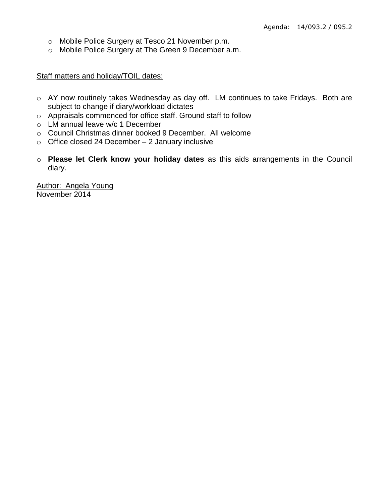- o Mobile Police Surgery at Tesco 21 November p.m.
- o Mobile Police Surgery at The Green 9 December a.m.

### Staff matters and holiday/TOIL dates:

- o AY now routinely takes Wednesday as day off. LM continues to take Fridays. Both are subject to change if diary/workload dictates
- o Appraisals commenced for office staff. Ground staff to follow
- o LM annual leave w/c 1 December
- o Council Christmas dinner booked 9 December. All welcome
- $\circ$  Office closed 24 December 2 January inclusive
- o **Please let Clerk know your holiday dates** as this aids arrangements in the Council diary.

Author: Angela Young November 2014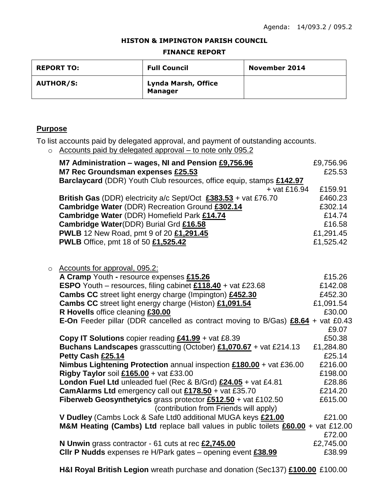#### **HISTON & IMPINGTON PARISH COUNCIL**

#### **FINANCE REPORT**

| <b>REPORT TO:</b> | <b>Full Council</b>                   | <b>November 2014</b> |
|-------------------|---------------------------------------|----------------------|
| <b>AUTHOR/S:</b>  | Lynda Marsh, Office<br><b>Manager</b> |                      |

# **Purpose**

To list accounts paid by delegated approval, and payment of outstanding accounts.

o Accounts paid by delegated approval – to note only 095.2

|         | M7 Administration - wages, NI and Pension £9,756.96                                     | £9,756.96 |
|---------|-----------------------------------------------------------------------------------------|-----------|
|         | M7 Rec Groundsman expenses £25.53                                                       | £25.53    |
|         | Barclaycard (DDR) Youth Club resources, office equip, stamps £142.97                    |           |
|         | $+$ vat £16.94                                                                          | £159.91   |
|         | British Gas (DDR) electricity a/c Sept/Oct $£383.53 +$ vat £76.70                       | £460.23   |
|         | Cambridge Water (DDR) Recreation Ground £302.14                                         | £302.14   |
|         | Cambridge Water (DDR) Homefield Park £14.74                                             | £14.74    |
|         | Cambridge Water(DDR) Burial Grd £16.58                                                  | £16.58    |
|         | <b>PWLB</b> 12 New Road, pmt 9 of 20 £1,291.45                                          | £1,291.45 |
|         | <b>PWLB</b> Office, pmt 18 of 50 £1,525.42                                              | £1,525.42 |
|         |                                                                                         |           |
|         |                                                                                         |           |
| $\circ$ | Accounts for approval, 095.2:                                                           |           |
|         | A Cramp Youth - resource expenses £15.26                                                | £15.26    |
|         | <b>ESPO</b> Youth – resources, filing cabinet £118.40 + vat £23.68                      | £142.08   |
|         | Cambs CC street light energy charge (Impington) £452.30                                 | £452.30   |
|         | Cambs CC street light energy charge (Histon) £1,091.54                                  | £1,091.54 |
|         | R Hovells office cleaning £30.00                                                        | £30.00    |
|         | <b>E-On</b> Feeder pillar (DDR cancelled as contract moving to B/Gas) £8.64 + vat £0.43 |           |
|         |                                                                                         | £9.07     |
|         | Copy IT Solutions copier reading $£41.99 +$ vat £8.39                                   | £50.38    |
|         | Buchans Landscapes grasscutting (October) £1,070.67 + vat £214.13                       | £1,284.80 |
|         | Petty Cash £25.14                                                                       | £25.14    |
|         | Nimbus Lightening Protection annual inspection £180.00 + vat £36.00                     | £216.00   |
|         | Rigby Taylor soil $£165.00 + \text{vat } £33.00$                                        | £198.00   |
|         | London Fuel Ltd unleaded fuel (Rec & B/Grd) £24.05 + vat £4.81                          | £28.86    |
|         | CamAlarms Ltd emergency call out £178.50 + vat £35.70                                   | £214.20   |
|         | Fiberweb Geosynthetyics grass protector $£512.50 +$ vat £102.50                         | £615.00   |
|         | (contribution from Friends will apply)                                                  |           |
|         | V Dudley (Cambs Lock & Safe Ltd0 additional MUGA keys £21.00                            | £21.00    |
|         | M&M Heating (Cambs) Ltd replace ball values in public toilets £60.00 + vat £12.00       |           |
|         |                                                                                         | £72.00    |
|         | N Unwin grass contractor - 61 cuts at rec £2,745.00                                     | £2,745.00 |
|         | CIIr P Nudds expenses re H/Park gates - opening event £38.99                            | £38.99    |
|         |                                                                                         |           |

**H&I Royal British Legion** wreath purchase and donation (Sec137) **£100.00** £100.00